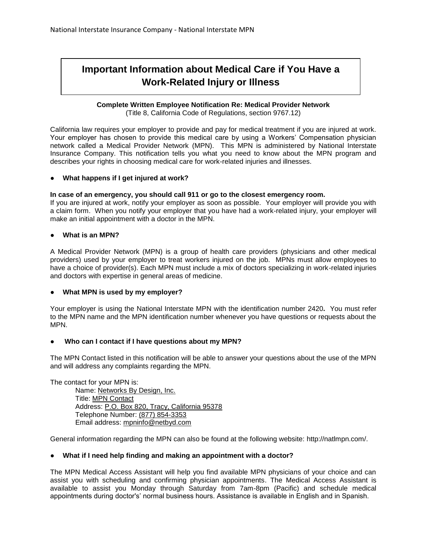# **Important Information about Medical Care if You Have a Work-Related Injury or Illness**

## **Complete Written Employee Notification Re: Medical Provider Network**

(Title 8, California Code of Regulations, section 9767.12)

California law requires your employer to provide and pay for medical treatment if you are injured at work. Your employer has chosen to provide this medical care by using a Workers' Compensation physician network called a Medical Provider Network (MPN). This MPN is administered by National Interstate Insurance Company. This notification tells you what you need to know about the MPN program and describes your rights in choosing medical care for work-related injuries and illnesses.

## ● **What happens if I get injured at work?**

#### **In case of an emergency, you should call 911 or go to the closest emergency room.**

If you are injured at work, notify your employer as soon as possible. Your employer will provide you with a claim form. When you notify your employer that you have had a work-related injury, your employer will make an initial appointment with a doctor in the MPN.

## ● **What is an MPN?**

A Medical Provider Network (MPN) is a group of health care providers (physicians and other medical providers) used by your employer to treat workers injured on the job. MPNs must allow employees to have a choice of provider(s). Each MPN must include a mix of doctors specializing in work-related injuries and doctors with expertise in general areas of medicine.

## ● **What MPN is used by my employer?**

Your employer is using the National Interstate MPN with the identification number 2420**.** You must refer to the MPN name and the MPN identification number whenever you have questions or requests about the MPN.

#### Who can I contact if I have questions about my MPN?

The MPN Contact listed in this notification will be able to answer your questions about the use of the MPN and will address any complaints regarding the MPN.

The contact for your MPN is:

Name: Networks By Design, Inc. Title: MPN Contact Address: P.O. Box 820, Tracy, California 95378 Telephone Number: (877) 854-3353 Email address: mpninfo@netbyd.com

General information regarding the MPN can also be found at the following website: http://natlmpn.com/.

#### ● **What if I need help finding and making an appointment with a doctor?**

The MPN Medical Access Assistant will help you find available MPN physicians of your choice and can assist you with scheduling and confirming physician appointments. The Medical Access Assistant is available to assist you Monday through Saturday from 7am-8pm (Pacific) and schedule medical appointments during doctor's' normal business hours. Assistance is available in English and in Spanish.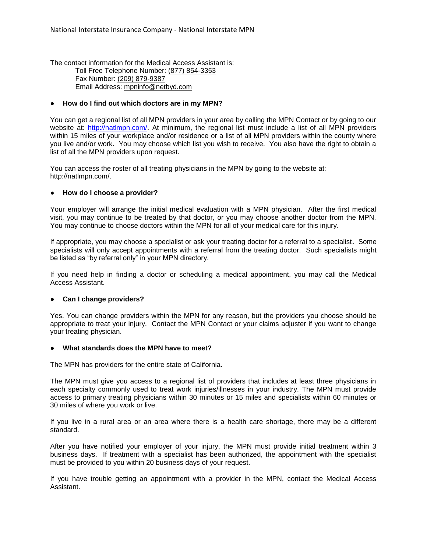The contact information for the Medical Access Assistant is: Toll Free Telephone Number: (877) 854-3353 Fax Number: (209) 879-9387 Email Address: mpninfo@netbyd.com

#### ● **How do I find out which doctors are in my MPN?**

You can get a regional list of all MPN providers in your area by calling the MPN Contact or by going to our website at: [http://natlmpn.com/.](http://natlmpn.com/) At minimum, the regional list must include a list of all MPN providers within 15 miles of your workplace and/or residence or a list of all MPN providers within the county where you live and/or work. You may choose which list you wish to receive. You also have the right to obtain a list of all the MPN providers upon request.

You can access the roster of all treating physicians in the MPN by going to the website at: http://natlmpn.com/.

#### ● **How do I choose a provider?**

Your employer will arrange the initial medical evaluation with a MPN physician. After the first medical visit, you may continue to be treated by that doctor, or you may choose another doctor from the MPN. You may continue to choose doctors within the MPN for all of your medical care for this injury.

If appropriate, you may choose a specialist or ask your treating doctor for a referral to a specialist**.** Some specialists will only accept appointments with a referral from the treating doctor. Such specialists might be listed as "by referral only" in your MPN directory.

If you need help in finding a doctor or scheduling a medical appointment, you may call the Medical Access Assistant.

#### **Can I change providers?**

Yes. You can change providers within the MPN for any reason, but the providers you choose should be appropriate to treat your injury. Contact the MPN Contact or your claims adjuster if you want to change your treating physician.

#### **What standards does the MPN have to meet?**

The MPN has providers for the entire state of California.

The MPN must give you access to a regional list of providers that includes at least three physicians in each specialty commonly used to treat work injuries/illnesses in your industry. The MPN must provide access to primary treating physicians within 30 minutes or 15 miles and specialists within 60 minutes or 30 miles of where you work or live.

If you live in a rural area or an area where there is a health care shortage, there may be a different standard.

After you have notified your employer of your injury, the MPN must provide initial treatment within 3 business days. If treatment with a specialist has been authorized, the appointment with the specialist must be provided to you within 20 business days of your request.

If you have trouble getting an appointment with a provider in the MPN, contact the Medical Access Assistant.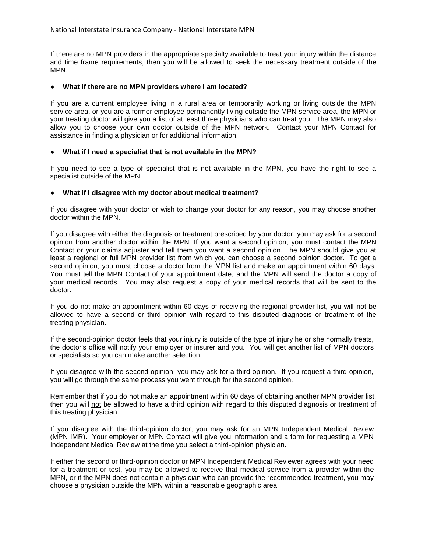If there are no MPN providers in the appropriate specialty available to treat your injury within the distance and time frame requirements, then you will be allowed to seek the necessary treatment outside of the MPN.

#### ● **What if there are no MPN providers where I am located?**

If you are a current employee living in a rural area or temporarily working or living outside the MPN service area, or you are a former employee permanently living outside the MPN service area, the MPN or your treating doctor will give you a list of at least three physicians who can treat you. The MPN may also allow you to choose your own doctor outside of the MPN network. Contact your MPN Contact for assistance in finding a physician or for additional information.

#### What if I need a specialist that is not available in the MPN?

If you need to see a type of specialist that is not available in the MPN, you have the right to see a specialist outside of the MPN.

#### ● **What if I disagree with my doctor about medical treatment?**

If you disagree with your doctor or wish to change your doctor for any reason, you may choose another doctor within the MPN.

If you disagree with either the diagnosis or treatment prescribed by your doctor, you may ask for a second opinion from another doctor within the MPN. If you want a second opinion, you must contact the MPN Contact or your claims adjuster and tell them you want a second opinion. The MPN should give you at least a regional or full MPN provider list from which you can choose a second opinion doctor. To get a second opinion, you must choose a doctor from the MPN list and make an appointment within 60 days. You must tell the MPN Contact of your appointment date, and the MPN will send the doctor a copy of your medical records. You may also request a copy of your medical records that will be sent to the doctor.

If you do not make an appointment within 60 days of receiving the regional provider list, you will not be allowed to have a second or third opinion with regard to this disputed diagnosis or treatment of the treating physician.

If the second-opinion doctor feels that your injury is outside of the type of injury he or she normally treats, the doctor's office will notify your employer or insurer and you. You will get another list of MPN doctors or specialists so you can make another selection.

If you disagree with the second opinion, you may ask for a third opinion. If you request a third opinion, you will go through the same process you went through for the second opinion.

Remember that if you do not make an appointment within 60 days of obtaining another MPN provider list, then you will not be allowed to have a third opinion with regard to this disputed diagnosis or treatment of this treating physician.

If you disagree with the third-opinion doctor, you may ask for an MPN Independent Medical Review (MPN IMR).Your employer or MPN Contact will give you information and a form for requesting a MPN Independent Medical Review at the time you select a third-opinion physician.

If either the second or third-opinion doctor or MPN Independent Medical Reviewer agrees with your need for a treatment or test, you may be allowed to receive that medical service from a provider within the MPN, or if the MPN does not contain a physician who can provide the recommended treatment, you may choose a physician outside the MPN within a reasonable geographic area.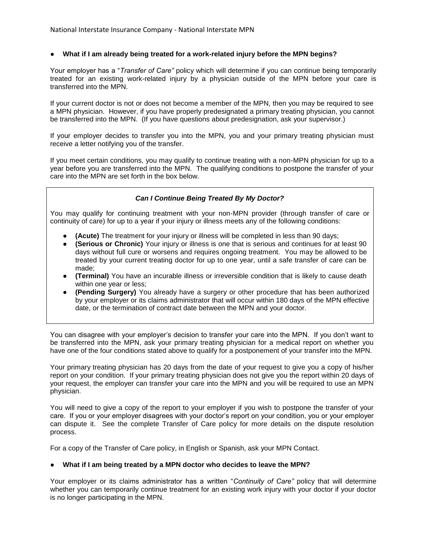### ● **What if I am already being treated for a work-related injury before the MPN begins?**

Your employer has a "*Transfer of Care"* policy which will determine if you can continue being temporarily treated for an existing work-related injury by a physician outside of the MPN before your care is transferred into the MPN.

If your current doctor is not or does not become a member of the MPN, then you may be required to see a MPN physician. However, if you have properly predesignated a primary treating physician, you cannot be transferred into the MPN. (If you have questions about predesignation, ask your supervisor.)

If your employer decides to transfer you into the MPN, you and your primary treating physician must receive a letter notifying you of the transfer.

If you meet certain conditions, you may qualify to continue treating with a non-MPN physician for up to a year before you are transferred into the MPN. The qualifying conditions to postpone the transfer of your care into the MPN are set forth in the box below.

## *Can I Continue Being Treated By My Doctor?*

You may qualify for continuing treatment with your non-MPN provider (through transfer of care or continuity of care) for up to a year if your injury or illness meets any of the following conditions:

- **(Acute)** The treatment for your injury or illness will be completed in less than 90 days;
- **(Serious or Chronic)** Your injury or illness is one that is serious and continues for at least 90 days without full cure or worsens and requires ongoing treatment. You may be allowed to be treated by your current treating doctor for up to one year, until a safe transfer of care can be made;
- **(Terminal)** You have an incurable illness or irreversible condition that is likely to cause death within one year or less;
- **(Pending Surgery)** You already have a surgery or other procedure that has been authorized by your employer or its claims administrator that will occur within 180 days of the MPN effective date, or the termination of contract date between the MPN and your doctor.

You can disagree with your employer's decision to transfer your care into the MPN. If you don't want to be transferred into the MPN, ask your primary treating physician for a medical report on whether you have one of the four conditions stated above to qualify for a postponement of your transfer into the MPN.

Your primary treating physician has 20 days from the date of your request to give you a copy of his/her report on your condition. If your primary treating physician does not give you the report within 20 days of your request, the employer can transfer your care into the MPN and you will be required to use an MPN physician.

You will need to give a copy of the report to your employer if you wish to postpone the transfer of your care. If you or your employer disagrees with your doctor's report on your condition, you or your employer can dispute it. See the complete Transfer of Care policy for more details on the dispute resolution process.

For a copy of the Transfer of Care policy, in English or Spanish, ask your MPN Contact.

#### ● **What if I am being treated by a MPN doctor who decides to leave the MPN?**

Your employer or its claims administrator has a written "*Continuity of Care"* policy that will determine whether you can temporarily continue treatment for an existing work injury with your doctor if your doctor is no longer participating in the MPN.